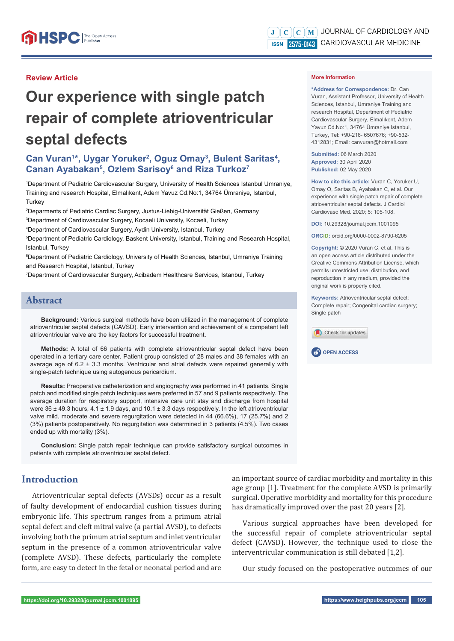#### **Review Article**

# **Our experience with single patch repair of complete atrioventricular septal defects**

# Can Vuran<sup>1\*</sup>, Uygar Yoruker<sup>2</sup>, Oguz Omay<sup>3</sup>, Bulent Saritas<sup>4</sup>, **Canan Ayabakan5 , Ozlem Sarisoy6 and Riza Turkoz7**

1 Department of Pediatric Cardiovascular Surgery, University of Health Sciences Istanbul Umraniye, Training and research Hospital, Elmalıkent, Adem Yavuz Cd.No:1, 34764 Ümraniye, Istanbul, **Turkey** 

2 Deparments of Pediatric Cardiac Surgery, Justus-Liebig-Universität Gießen, Germany 3 Department of Cardiovascular Surgery, Kocaeli University, Kocaeli, Turkey

4 Department of Cardiovascular Surgery, Aydin University, Istanbul, Turkey

5 Department of Pediatric Cardiology, Baskent University, Istanbul, Training and Research Hospital, Istanbul, Turkey

6 Department of Pediatric Cardiology, University of Health Sciences, Istanbul, Umraniye Training and Research Hospital, Istanbul, Turkey

7 Department of Cardiovascular Surgery, Acibadem Healthcare Services, Istanbul, Turkey

# **Abstract**

**Background:** Various surgical methods have been utilized in the management of complete atrioventricular septal defects (CAVSD). Early intervention and achievement of a competent left atrioventricular valve are the key factors for successful treatment.

**Methods:** A total of 66 patients with complete atrioventricular septal defect have been operated in a tertiary care center. Patient group consisted of 28 males and 38 females with an average age of  $6.2 \pm 3.3$  months. Ventricular and atrial defects were repaired generally with single-patch technique using autogenous pericardium.

**Results:** Preoperative catheterization and angiography was performed in 41 patients. Single patch and modified single patch techniques were preferred in 57 and 9 patients respectively. The average duration for respiratory support, intensive care unit stay and discharge from hospital were 36 ± 49.3 hours, 4.1 ± 1.9 days, and 10.1 ± 3.3 days respectively. In the left atrioventricular valve mild, moderate and severe regurgitation were detected in 44 (66.6%), 17 (25.7%) and 2 (3%) patients postoperatively. No regurgitation was determined in 3 patients (4.5%). Two cases ended up with mortality (3%).

**Conclusion:** Single patch repair technique can provide satisfactory surgical outcomes in patients with complete atrioventricular septal defect.

# **Introduction**

Atrioventricular septal defects (AVSDs) occur as a result of faulty development of endocardial cushion tissues during embryonic life. This spectrum ranges from a primum atrial septal defect and cleft mitral valve (a partial AVSD), to defects involving both the primum atrial septum and inlet ventricular septum in the presence of a common atrioventricular valve (complete AVSD). These defects, particularly the complete form, are easy to detect in the fetal or neonatal period and are

#### **More Information**

**\*Address for Correspondence:** Dr. Can Vuran, Assistant Professor, University of Health Sciences, Istanbul, Umraniye Training and research Hospital, Department of Pediatric Cardiovascular Surgery, Elmalıkent, Adem Yavuz Cd.No:1, 34764 Ümraniye Istanbul, Turkey, Tel: +90-216- 6507676; +90-532- 4312831; Email: canvuran@hotmail.com

**Submitted:** 06 March 2020 **Approved:** 30 April 2020 **Published:** 02 May 2020

**How to cite this article:** Vuran C, Yoruker U, Omay O, Saritas B, Ayabakan C, et al. Our experience with single patch repair of complete atrioventricular septal defects. J Cardiol Cardiovasc Med. 2020; 5: 105-108.

**DOI:** 10.29328/journal.jccm.1001095

**ORCiD:** orcid.org/0000-0002-8790-6205

**Copyright: ©** 2020 Vuran C, et al. This is an open access article distributed under the Creative Commons Attribution License, which permits unrestricted use, distribution, and reproduction in any medium, provided the original work is properly cited.

**Keywords:** Atrioventricular septal defect; Complete repair; Congenital cardiac surgery; Single patch





an important source of cardiac morbidity and mortality in this age group [1]. Treatment for the complete AVSD is primarily surgical. Operative morbidity and mortality for this procedure has dramatically improved over the past 20 years [2].

Various surgical approaches have been developed for the successful repair of complete atrioventricular septal defect (CAVSD). However, the technique used to close the interventricular communication is still debated [1,2].

Our study focused on the postoperative outcomes of our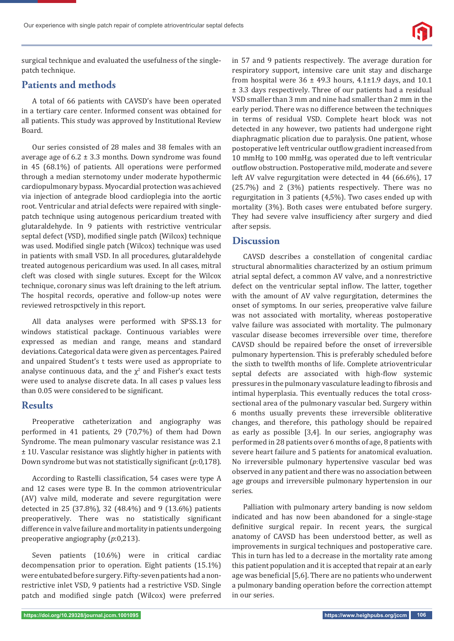

surgical technique and evaluated the usefulness of the singlepatch technique.

## **Patients and methods**

A total of 66 patients with CAVSD's have been operated in a tertiary care center. Informed consent was obtained for all patients. This study was approved by Institutional Review Board.

Our series consisted of 28 males and 38 females with an average age of  $6.2 \pm 3.3$  months. Down syndrome was found in 45 (68.1%) of patients. All operations were performed through a median sternotomy under moderate hypothermic cardiopulmonary bypass. Myocardial protection was achieved via injection of antegrade blood cardioplegia into the aortic root. Ventricular and atrial defects were repaired with singlepatch technique using autogenous pericardium treated with glutaraldehyde. In 9 patients with restrictive ventricular septal defect (VSD), modified single patch (Wilcox) technique was used. Modified single patch (Wilcox) technique was used in patients with small VSD. In all procedures, glutaraldehyde treated autogenous pericardium was used. In all cases, mitral cleft was closed with single sutures. Except for the Wilcox technique, coronary sinus was left draining to the left atrium. The hospital records, operative and follow-up notes were reviewed retrospctively in this report.

All data analyses were performed with SPSS.13 for windows statistical package. Continuous variables were expressed as median and range, means and standard deviations. Categorical data were given as percentages. Paired and unpaired Student's t tests were used as appropriate to analyse continuous data, and the  $\chi^2$  and Fisher's exact tests were used to analyse discrete data. In all cases p values less than 0.05 were considered to be significant.

#### **Results**

Preoperative catheterization and angiography was performed in 41 patients, 29 (70,7%) of them had Down Syndrome. The mean pulmonary vascular resistance was 2.1 ± 1U. Vascular resistance was slightly higher in patients with Down syndrome but was not statistically significant (*p*:0,178).

According to Rastelli classification, 54 cases were type A and 12 cases were type B. In the common atrioventricular (AV) valve mild, moderate and severe regurgitation were detected in 25 (37.8%), 32 (48.4%) and 9 (13.6%) patients preoperatively. There was no statistically significant difference in valve failure and mortality in patients undergoing preoperative angiography (*p*:0,213).

Seven patients (10.6%) were in critical cardiac decompensation prior to operation. Eight patients (15.1%) were entubated before surgery. Fifty-seven patients had a nonrestrictive inlet VSD, 9 patients had a restrictive VSD. Single patch and modified single patch (Wilcox) were preferred in 57 and 9 patients respectively. The average duration for respiratory support, intensive care unit stay and discharge from hospital were  $36 \pm 49.3$  hours,  $4.1 \pm 1.9$  days, and  $10.1$ ± 3.3 days respectively. Three of our patients had a residual VSD smaller than 3 mm and nine had smaller than 2 mm in the early period. There was no difference between the techniques in terms of residual VSD. Complete heart block was not detected in any however, two patients had undergone right diaphragmatic plication due to paralysis. One patient, whose postoperative left ventricular outflow gradient increased from 10 mmHg to 100 mmHg, was operated due to left ventricular outflow obstruction. Postoperative mild, moderate and severe left AV valve regurgitation were detected in 44 (66.6%), 17 (25.7%) and 2 (3%) patients respectively. There was no regurgitation in 3 patients (4,5%). Two cases ended up with mortality (3%). Both cases were entubated before surgery. They had severe valve insufficiency after surgery and died after sepsis.

#### **Discussion**

CAVSD describes a constellation of congenital cardiac structural abnormalities characterized by an ostium primum atrial septal defect, a common AV valve, and a nonrestrictive defect on the ventricular septal inflow. The latter, together with the amount of AV valve regurgitation, determines the onset of symptoms. In our series, preoperative valve failure was not associated with mortality, whereas postoperative valve failure was associated with mortality. The pulmonary vascular disease becomes irreversible over time, therefore CAVSD should be repaired before the onset of irreversible pulmonary hypertension. This is preferably scheduled before the sixth to twelfth months of life. Complete atrioventricular septal defects are associated with high-flow systemic pressures in the pulmonary vasculature leading to fibrosis and intimal hyperplasia. This eventually reduces the total crosssectional area of the pulmonary vascular bed. Surgery within 6 months usually prevents these irreversible obliterative changes, and therefore, this pathology should be repaired as early as possible [3,4]. In our series, angiography was performed in 28 patients over 6 months of age, 8 patients with severe heart failure and 5 patients for anatomical evaluation. No irreversible pulmonary hypertensive vascular bed was observed in any patient and there was no association between age groups and irreversible pulmonary hypertension in our series.

Palliation with pulmonary artery banding is now seldom indicated and has now been abandoned for a single-stage definitive surgical repair. In recent years, the surgical anatomy of CAVSD has been understood better, as well as improvements in surgical techniques and postoperative care. This in turn has led to a decrease in the mortality rate among this patient population and it is accepted that repair at an early age was beneficial [5,6]. There are no patients who underwent a pulmonary banding operation before the correction attempt in our series.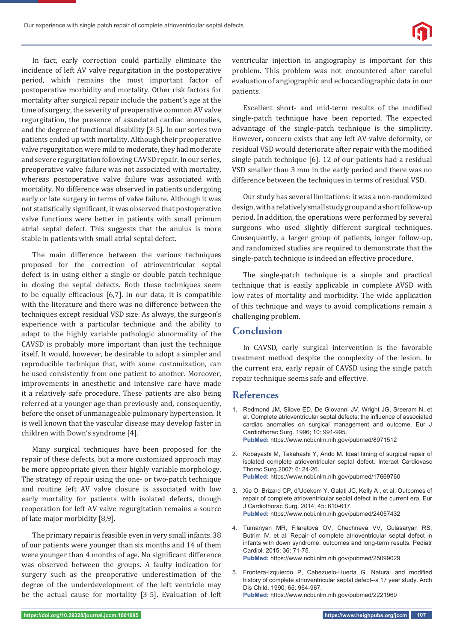Our experience with single patch repair of complete atrioventricular septal defects



In fact, early correction could partially eliminate the incidence of left AV valve regurgitation in the postoperative period, which remains the most important factor of postoperative morbidity and mortality. Other risk factors for mortality after surgical repair include the patient's age at the time of surgery, the severity of preoperative common AV valve regurgitation, the presence of associated cardiac anomalies, and the degree of functional disability [3-5]. İn our series two patients ended up with mortality. Although their preoperative valve regurgitation were mild to moderate, they had moderate and severe regurgitation following CAVSD repair. In our series, preoperative valve failure was not associated with mortality, whereas postoperative valve failure was associated with mortality. No difference was observed in patients undergoing early or late surgery in terms of valve failure. Although it was not statistically significant, it was observed that postoperative valve functions were better in patients with small primum atrial septal defect. This suggests that the anulus is more stable in patients with small atrial septal defect.

The main difference between the various techniques proposed for the correction of atrioventricular septal defect is in using either a single or double patch technique in closing the septal defects. Both these techniques seem to be equally efficacious  $[6,7]$ . In our data, it is compatible with the literature and there was no difference between the techniques except residual VSD size. As always, the surgeon's experience with a particular technique and the ability to adapt to the highly variable pathologic abnormality of the CAVSD is probably more important than just the technique itself. It would, however, be desirable to adopt a simpler and reproducible technique that, with some customization, can be used consistently from one patient to another. Moreover, improvements in anesthetic and intensive care have made it a relatively safe procedure. These patients are also being referred at a younger age than previously and, consequently, before the onset of unmanageable pulmonary hypertension. It is well known that the vascular disease may develop faster in children with Down's syndrome [4].

Many surgical techniques have been proposed for the repair of these defects, but a more customized approach may be more appropriate given their highly variable morphology. The strategy of repair using the one- or two-patch technique and routine left AV valve closure is associated with low early mortality for patients with isolated defects, though reoperation for left AV valve regurgitation remains a source of late major morbidity [8,9].

The primary repair is feasible even in very small infants. 38 of our patients were younger than six months and 14 of them were younger than 4 months of age. No significant difference was observed between the groups. A faulty indication for surgery such as the preoperative underestimation of the degree of the underdevelopment of the left ventricle may be the actual cause for mortality [3-5]. Evaluation of left ventricular injection in angiography is important for this problem. This problem was not encountered after careful evaluation of angiographic and echocardiographic data in our patients.

Excellent short- and mid-term results of the modified single-patch technique have been reported. The expected advantage of the single-patch technique is the simplicity. However, concern exists that any left AV valve deformity, or residual VSD would deteriorate after repair with the modified single-patch technique [6]. 12 of our patients had a residual VSD smaller than 3 mm in the early period and there was no difference between the techniques in terms of residual VSD.

Our study has several limitations: it was a non-randomized design, with a relatively small study group and a short follow-up period. In addition, the operations were performed by several surgeons who used slightly different surgical techniques. Consequently, a larger group of patients, longer follow-up, and randomized studies are required to demonstrate that the single-patch technique is indeed an effective procedure.

The single-patch technique is a simple and practical technique that is easily applicable in complete AVSD with low rates of mortality and morbidity. The wide application of this technique and ways to avoid complications remain a challenging problem.

## **Conclusion**

In CAVSD, early surgical intervention is the favorable treatment method despite the complexity of the lesion. In the current era, early repair of CAVSD using the single patch repair technique seems safe and effective.

#### **References**

- 1. Redmond JM, Silove ED, De Giovanni JV, Wright JG, Sreeram N, et al. Complete atrioventricular septal defects: the influence of associated cardiac anomalies on surgical management and outcome. Eur J Cardiothorac Surg. 1996; 10: 991-995. **PubMed:** https://www.ncbi.nlm.nih.gov/pubmed/8971512
- 2. Kobayashi M, Takahashi Y, Ando M. Ideal timing of surgical repair of isolated complete atrioventricular septal defect. Interact Cardiovasc Thorac Surg.2007; 6: 24-26. **PubMed:** https://www.ncbi.nlm.nih.gov/pubmed/17669760
- 3. Xie O, Brizard CP, d'Udekem Y, Galati JC, Kelly A , et al. Outcomes of repair of complete atrioventricular septal defect in the current era. Eur J Cardiothorac Surg. 2014; 45: 610-617. **PubMed:** https://www.ncbi.nlm.nih.gov/pubmed/24057432
- 4. Tumanyan MR, Filaretova OV, Chechneva VV, Gulasaryan RS, Butrim IV, et al. Repair of complete atrioventricular septal defect in infants with down syndrome: outcomes and long-term results. Pediatr Cardiol. 2015; 36: 71-75. **PubMed:** https://www.ncbi.nlm.nih.gov/pubmed/25099029
- 5. Frontera-Izquierdo P, Cabezuelo-Huerta G. Natural and modified history of complete atrioventricular septal defect--a 17 year study. Arch Dis Child. 1990; 65: 964-967.

**PubMed:** https://www.ncbi.nlm.nih.gov/pubmed/2221969